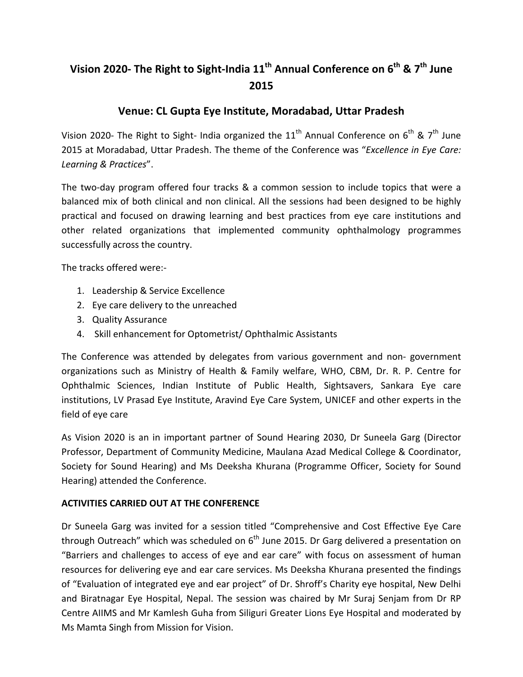## Vision 2020- The Right to Sight-India 11<sup>th</sup> Annual Conference on 6<sup>th</sup> & 7<sup>th</sup> June **2015**

## **Venue: CL Gupta Eye Institute, Moradabad, Uttar Pradesh**

Vision 2020- The Right to Sight- India organized the  $11<sup>th</sup>$  Annual Conference on  $6<sup>th</sup>$  &  $7<sup>th</sup>$  June 2015 at Moradabad, Uttar Pradesh. The theme of the Conference was "*Excellence in Eye Care: Learning & Practices*".

The two-day program offered four tracks & a common session to include topics that were a balanced mix of both clinical and non clinical. All the sessions had been designed to be highly practical and focused on drawing learning and best practices from eye care institutions and other related organizations that implemented community ophthalmology programmes successfully across the country.

The tracks offered were:-

- 1. Leadership & Service Excellence
- 2. Eye care delivery to the unreached
- 3. Quality Assurance
- 4. Skill enhancement for Optometrist/ Ophthalmic Assistants

The Conference was attended by delegates from various government and non- government organizations such as Ministry of Health & Family welfare, WHO, CBM, Dr. R. P. Centre for Ophthalmic Sciences, Indian Institute of Public Health, Sightsavers, Sankara Eye care institutions, LV Prasad Eye Institute, Aravind Eye Care System, UNICEF and other experts in the field of eye care

As Vision 2020 is an in important partner of Sound Hearing 2030, Dr Suneela Garg (Director Professor, Department of Community Medicine, Maulana Azad Medical College & Coordinator, Society for Sound Hearing) and Ms Deeksha Khurana (Programme Officer, Society for Sound Hearing) attended the Conference.

## **ACTIVITIES CARRIED OUT AT THE CONFERENCE**

Dr Suneela Garg was invited for a session titled "Comprehensive and Cost Effective Eye Care through Outreach" which was scheduled on  $6<sup>th</sup>$  June 2015. Dr Garg delivered a presentation on "Barriers and challenges to access of eye and ear care" with focus on assessment of human resources for delivering eye and ear care services. Ms Deeksha Khurana presented the findings of "Evaluation of integrated eye and ear project" of Dr. Shroff's Charity eye hospital, New Delhi and Biratnagar Eye Hospital, Nepal. The session was chaired by Mr Suraj Senjam from Dr RP Centre AIIMS and Mr Kamlesh Guha from Siliguri Greater Lions Eye Hospital and moderated by Ms Mamta Singh from Mission for Vision.